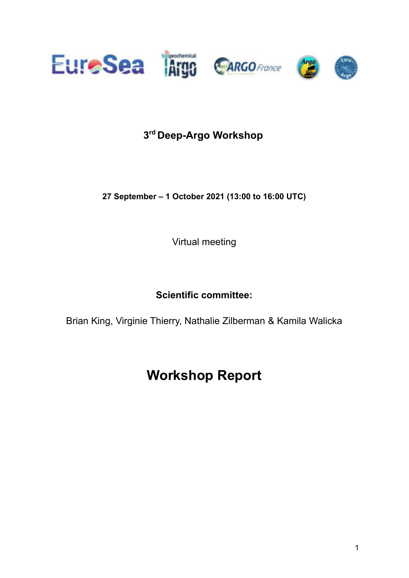

# **3 rd Deep-Argo Workshop**

**27 September – 1 October 2021 (13:00 to 16:00 UTC)**

Virtual meeting

**Scientific committee:**

Brian King, Virginie Thierry, Nathalie Zilberman [&](https://www.euro-argo.eu/News-Meetings/Meetings/Others/BGC-Deep-Argo-Workshop) Kamila Walicka

# **Workshop Report**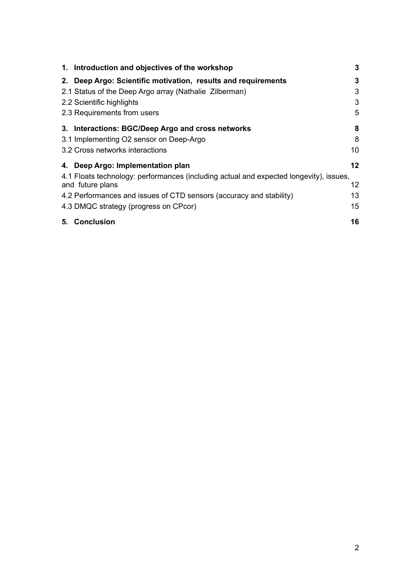| 1. Introduction and objectives of the workshop                                         | 3  |
|----------------------------------------------------------------------------------------|----|
| 2. Deep Argo: Scientific motivation, results and requirements                          | 3  |
| 2.1 Status of the Deep Argo array (Nathalie Zilberman)                                 | 3  |
| 2.2 Scientific highlights                                                              | 3  |
| 2.3 Requirements from users                                                            | 5  |
| 3. Interactions: BGC/Deep Argo and cross networks                                      | 8  |
| 3.1 Implementing O2 sensor on Deep-Argo                                                | 8  |
| 3.2 Cross networks interactions                                                        | 10 |
| 4. Deep Argo: Implementation plan                                                      | 12 |
| 4.1 Floats technology: performances (including actual and expected longevity), issues, |    |
| and future plans                                                                       | 12 |
| 4.2 Performances and issues of CTD sensors (accuracy and stability)                    | 13 |
| 4.3 DMQC strategy (progress on CPcor)                                                  | 15 |
| 5. Conclusion                                                                          | 16 |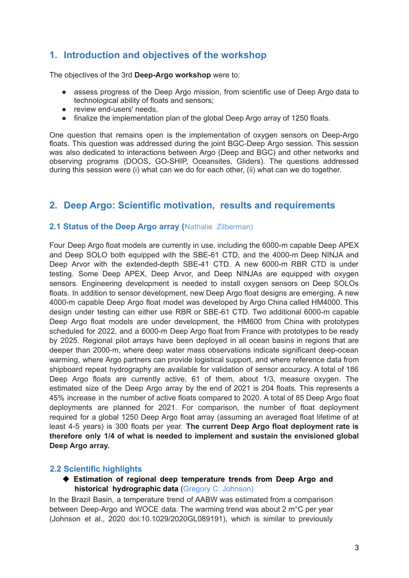# <span id="page-2-0"></span>**1. Introduction and objectives of the workshop**

The objectives of the 3rd **Deep-Argo workshop** were to:

- assess progress of the Deep Argo mission, from scientific use of Deep Argo data to technological ability of floats and sensors;
- review end-users' needs,
- finalize the implementation plan of the global Deep Argo array of 1250 floats.

One question that remains open is the implementation of oxygen sensors on Deep-Argo floats. This question was addressed during the joint BGC-Deep Argo session. This session was also dedicated to interactions between Argo (Deep and BGC) and other networks and observing programs (DOOS, GO-SHIP, Oceansites, Gliders). The questions addressed during this session were (i) what can we do for each other, (ii) what can we do together.

# <span id="page-2-2"></span><span id="page-2-1"></span>**2. Deep Argo: Scientific motivation, results and requirements**

# **2.1 Status of the Deep Argo array (**Nathalie Zilberman)

Four Deep Argo float models are currently in use, including the 6000-m capable Deep APEX and Deep SOLO both equipped with the SBE-61 CTD, and the 4000-m Deep NINJA and Deep Arvor with the extended-depth SBE-41 CTD. A new 6000-m RBR CTD is under testing. Some Deep APEX, Deep Arvor, and Deep NINJAs are equipped with oxygen sensors. Engineering development is needed to install oxygen sensors on Deep SOLOs floats. In addition to sensor development, new Deep Argo float designs are emerging. A new 4000-m capable Deep Argo float model was developed by Argo China called HM4000. This design under testing can either use RBR or SBE-61 CTD. Two additional 6000-m capable Deep Argo float models are under development, the HM600 from China with prototypes scheduled for 2022, and a 6000-m Deep Argo float from France with prototypes to be ready by 2025. Regional pilot arrays have been deployed in all ocean basins in regions that are deeper than 2000-m, where deep water mass observations indicate significant deep-ocean warming, where Argo partners can provide logistical support, and where reference data from shipboard repeat hydrography are available for validation of sensor accuracy. A total of 186 Deep Argo floats are currently active, 61 of them, about 1/3, measure oxygen. The estimated size of the Deep Argo array by the end of 2021 is 204 floats. This represents a 45% increase in the number of active floats compared to 2020. A total of 85 Deep Argo float deployments are planned for 2021. For comparison, the number of float deployment required for a global 1250 Deep Argo float array (assuming an averaged float lifetime of at least 4-5 years) is 300 floats per year. **The current Deep Argo float deployment rate is therefore only 1/4 of what is needed to implement and sustain the envisioned global Deep Argo array.**

#### <span id="page-2-3"></span>**2.2 Scientific highlights**

◆ **Estimation of regional deep temperature trends from Deep Argo and historical hydrographic data** (Gregory C. Johnson)

In the Brazil Basin, a temperature trend of AABW was estimated from a comparison between Deep-Argo and WOCE data. The warming trend was about 2 m°C per year (Johnson et al., 2020 doi:10.1029/2020GL089191), which is similar to previously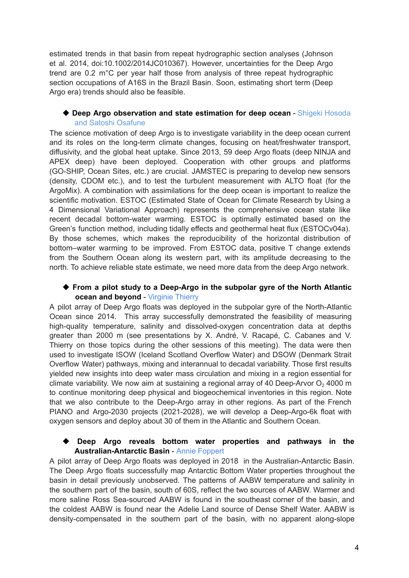estimated trends in that basin from repeat hydrographic section analyses (Johnson et al. 2014, doi:10.1002/2014JC010367). However, uncertainties for the Deep Argo trend are 0.2 m°C per year half those from analysis of three repeat hydrographic section occupations of A16S in the Brazil Basin. Soon, estimating short term (Deep Argo era) trends should also be feasible.

# ◆ **Deep Argo observation and state estimation for deep ocean** - Shigeki Hosoda and Satoshi Osafune

The science motivation of deep Argo is to investigate variability in the deep ocean current and its roles on the long-term climate changes, focusing on heat/freshwater transport, diffusivity, and the global heat uptake. Since 2013, 59 deep Argo floats (deep NINJA and APEX deep) have been deployed. Cooperation with other groups and platforms (GO-SHIP, Ocean Sites, etc.) are crucial. JAMSTEC is preparing to develop new sensors (density, CDOM etc.), and to test the turbulent measurement with ALTO float (for the ArgoMix). A combination with assimilations for the deep ocean is important to realize the scientific motivation. ESTOC (Estimated State of Ocean for Climate Research by Using a 4 Dimensional Variational Approach) represents the comprehensive ocean state like recent decadal bottom-water warming. ESTOC is optimally estimated based on the Green's function method, including tidally effects and geothermal heat flux (ESTOCv04a). By those schemes, which makes the reproducibility of the horizontal distribution of bottom–water warming to be improved. From ESTOC data, positive T change extends from the Southern Ocean along its western part, with its amplitude decreasing to the north. To achieve reliable state estimate, we need more data from the deep Argo network.

# ◆ **From a pilot study to a Deep-Argo in the subpolar gyre of the North Atlantic ocean and beyond** - Virginie Thierry

A pilot array of Deep Argo floats was deployed in the subpolar gyre of the North-Atlantic Ocean since 2014. This array successfully demonstrated the feasibility of measuring high-quality temperature, salinity and dissolved-oxygen concentration data at depths greater than 2000 m (see presentations by X. André, V. Racapé, C. Cabanes and V. Thierry on those topics during the other sessions of this meeting). The data were then used to investigate ISOW (Iceland Scotland Overflow Water) and DSOW (Denmark Strait Overflow Water) pathways, mixing and interannual to decadal variability. Those first results yielded new insights into deep water mass circulation and mixing in a region essential for climate variability. We now aim at sustaining a regional array of 40 Deep-Arvor  $O<sub>2</sub>$  4000 m to continue monitoring deep physical and biogeochemical inventories in this region. Note that we also contribute to the Deep-Argo array in other regions. As part of the French PIANO and Argo-2030 projects (2021-2028), we will develop a Deep-Argo-6k float with oxygen sensors and deploy about 30 of them in the Atlantic and Southern Ocean.

# ◆ **Deep Argo reveals bottom water properties and pathways in the Australian-Antarctic Basin** - Annie Foppert

A pilot array of Deep Argo floats was deployed in 2018 in the Australian-Antarctic Basin. The Deep Argo floats successfully map Antarctic Bottom Water properties throughout the basin in detail previously unobserved. The patterns of AABW temperature and salinity in the southern part of the basin, south of 60S, reflect the two sources of AABW. Warmer and more saline Ross Sea-sourced AABW is found in the southeast corner of the basin, and the coldest AABW is found near the Adelie Land source of Dense Shelf Water. AABW is density-compensated in the southern part of the basin, with no apparent along-slope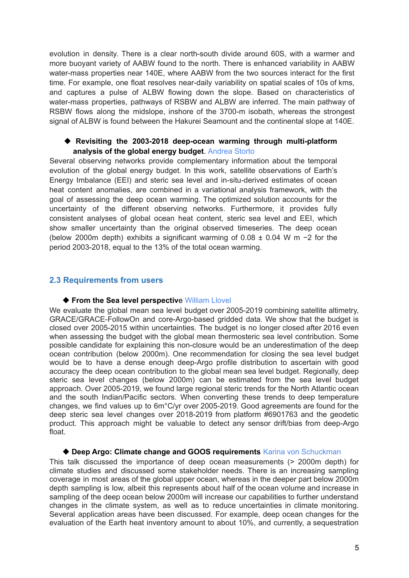evolution in density. There is a clear north-south divide around 60S, with a warmer and more buoyant variety of AABW found to the north. There is enhanced variability in AABW water-mass properties near 140E, where AABW from the two sources interact for the first time. For example, one float resolves near-daily variability on spatial scales of 10s of kms, and captures a pulse of ALBW flowing down the slope. Based on characteristics of water-mass properties, pathways of RSBW and ALBW are inferred. The main pathway of RSBW flows along the midslope, inshore of the 3700-m isobath, whereas the strongest signal of ALBW is found between the Hakurei Seamount and the continental slope at 140E.

#### ◆ **Revisiting the 2003-2018 deep-ocean warming through multi-platform analysis of the global energy budget**. Andrea Storto

Several observing networks provide complementary information about the temporal evolution of the global energy budget. In this work, satellite observations of Earth's Energy Imbalance (EEI) and steric sea level and in-situ-derived estimates of ocean heat content anomalies, are combined in a variational analysis framework, with the goal of assessing the deep ocean warming. The optimized solution accounts for the uncertainty of the different observing networks. Furthermore, it provides fully consistent analyses of global ocean heat content, steric sea level and EEI, which show smaller uncertainty than the original observed timeseries. The deep ocean (below 2000m depth) exhibits a significant warming of 0.08 ± 0.04 W m −2 for the period 2003-2018, equal to the 13% of the total ocean warming.

#### <span id="page-4-0"></span>**2.3 Requirements from users**

#### ◆ **From the Sea level perspective William Llovel**

We evaluate the global mean sea level budget over 2005-2019 combining satellite altimetry. GRACE/GRACE-FollowOn and core-Argo-based gridded data. We show that the budget is closed over 2005-2015 within uncertainties. The budget is no longer closed after 2016 even when assessing the budget with the global mean thermosteric sea level contribution. Some possible candidate for explaining this non-closure would be an underestimation of the deep ocean contribution (below 2000m). One recommendation for closing the sea level budget would be to have a dense enough deep-Argo profile distribution to ascertain with good accuracy the deep ocean contribution to the global mean sea level budget. Regionally, deep steric sea level changes (below 2000m) can be estimated from the sea level budget approach. Over 2005-2019, we found large regional steric trends for the North Atlantic ocean and the south Indian/Pacific sectors. When converting these trends to deep temperature changes, we find values up to 6m°C/yr over 2005-2019. Good agreements are found for the deep steric sea level changes over 2018-2019 from platform #6901763 and the geodetic product. This approach might be valuable to detect any sensor drift/bias from deep-Argo float.

#### ◆ **Deep Argo: Climate change and GOOS requirements** Karina von Schuckman

This talk discussed the importance of deep ocean measurements (> 2000m depth) for climate studies and discussed some stakeholder needs. There is an increasing sampling coverage in most areas of the global upper ocean, whereas in the deeper part below 2000m depth sampling is low, albeit this represents about half of the ocean volume and increase in sampling of the deep ocean below 2000m will increase our capabilities to further understand changes in the climate system, as well as to reduce uncertainties in climate monitoring. Several application areas have been discussed. For example, deep ocean changes for the evaluation of the Earth heat inventory amount to about 10%, and currently, a sequestration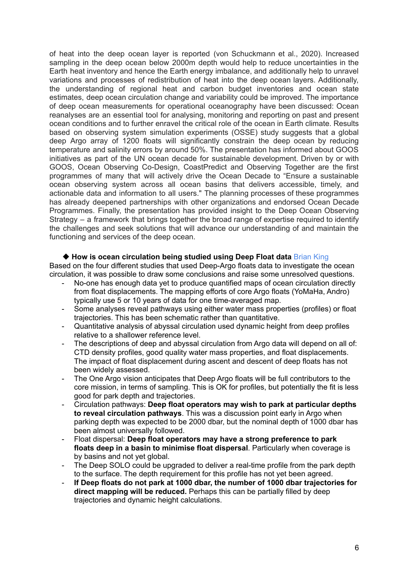of heat into the deep ocean layer is reported (von Schuckmann et al., 2020). Increased sampling in the deep ocean below 2000m depth would help to reduce uncertainties in the Earth heat inventory and hence the Earth energy imbalance, and additionally help to unravel variations and processes of redistribution of heat into the deep ocean layers. Additionally, the understanding of regional heat and carbon budget inventories and ocean state estimates, deep ocean circulation change and variability could be improved. The importance of deep ocean measurements for operational oceanography have been discussed: Ocean reanalyses are an essential tool for analysing, monitoring and reporting on past and present ocean conditions and to further enravel the critical role of the ocean in Earth climate. Results based on observing system simulation experiments (OSSE) study suggests that a global deep Argo array of 1200 floats will significantly constrain the deep ocean by reducing temperature and salinity errors by around 50%. The presentation has informed about GOOS initiatives as part of the UN ocean decade for sustainable development. Driven by or with GOOS, Ocean Observing Co-Design, CoastPredict and Observing Together are the first programmes of many that will actively drive the Ocean Decade to "Ensure a sustainable ocean observing system across all ocean basins that delivers accessible, timely, and actionable data and information to all users." The planning processes of these programmes has already deepened partnerships with other organizations and endorsed Ocean Decade Programmes. Finally, the presentation has provided insight to the Deep Ocean Observing Strategy – a framework that brings together the broad range of expertise required to identify the challenges and seek solutions that will advance our understanding of and maintain the functioning and services of the deep ocean.

#### ◆ **How is ocean circulation being studied using Deep Float data** Brian King

Based on the four different studies that used Deep-Argo floats data to investigate the ocean circulation, it was possible to draw some conclusions and raise some unresolved questions.

- No-one has enough data yet to produce quantified maps of ocean circulation directly from float displacements. The mapping efforts of core Argo floats (YoMaHa, Andro) typically use 5 or 10 years of data for one time-averaged map.
- Some analyses reveal pathways using either water mass properties (profiles) or float trajectories. This has been schematic rather than quantitative.
- Quantitative analysis of abyssal circulation used dynamic height from deep profiles relative to a shallower reference level.
- The descriptions of deep and abyssal circulation from Argo data will depend on all of: CTD density profiles, good quality water mass properties, and float displacements. The impact of float displacement during ascent and descent of deep floats has not been widely assessed.
- The One Argo vision anticipates that Deep Argo floats will be full contributors to the core mission, in terms of sampling. This is OK for profiles, but potentially the fit is less good for park depth and trajectories.
- Circulation pathways: **Deep float operators may wish to park at particular depths to reveal circulation pathways**. This was a discussion point early in Argo when parking depth was expected to be 2000 dbar, but the nominal depth of 1000 dbar has been almost universally followed.
- Float dispersal: **Deep float operators may have a strong preference to park floats deep in a basin to minimise float dispersal**. Particularly when coverage is by basins and not yet global.
- The Deep SOLO could be upgraded to deliver a real-time profile from the park depth to the surface. The depth requirement for this profile has not yet been agreed.
- **If Deep floats do not park at 1000 dbar, the number of 1000 dbar trajectories for direct mapping will be reduced.** Perhaps this can be partially filled by deep trajectories and dynamic height calculations.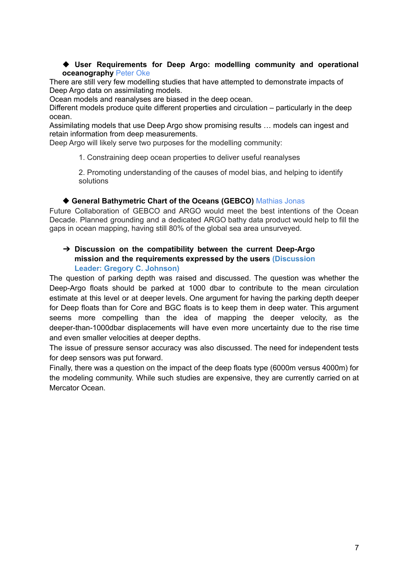#### ◆ **User Requirements for Deep Argo: modelling community and operational oceanography** Peter Oke

There are still very few modelling studies that have attempted to demonstrate impacts of Deep Argo data on assimilating models.

Ocean models and reanalyses are biased in the deep ocean.

Different models produce quite different properties and circulation – particularly in the deep ocean.

Assimilating models that use Deep Argo show promising results … models can ingest and retain information from deep measurements.

Deep Argo will likely serve two purposes for the modelling community:

1. Constraining deep ocean properties to deliver useful reanalyses

2. Promoting understanding of the causes of model bias, and helping to identify solutions

#### ◆ **General Bathymetric Chart of the Oceans (GEBCO)** Mathias Jonas

Future Collaboration of GEBCO and ARGO would meet the best intentions of the Ocean Decade. Planned grounding and a dedicated ARGO bathy data product would help to fill the gaps in ocean mapping, having still 80% of the global sea area unsurveyed.

# ➔ **Discussion on the compatibility between the current Deep-Argo mission and the requirements expressed by the users (Discussion**

# **Leader: Gregory C. Johnson)**

The question of parking depth was raised and discussed. The question was whether the Deep-Argo floats should be parked at 1000 dbar to contribute to the mean circulation estimate at this level or at deeper levels. One argument for having the parking depth deeper for Deep floats than for Core and BGC floats is to keep them in deep water. This argument seems more compelling than the idea of mapping the deeper velocity, as the deeper-than-1000dbar displacements will have even more uncertainty due to the rise time and even smaller velocities at deeper depths.

The issue of pressure sensor accuracy was also discussed. The need for independent tests for deep sensors was put forward.

Finally, there was a question on the impact of the deep floats type (6000m versus 4000m) for the modeling community. While such studies are expensive, they are currently carried on at Mercator Ocean.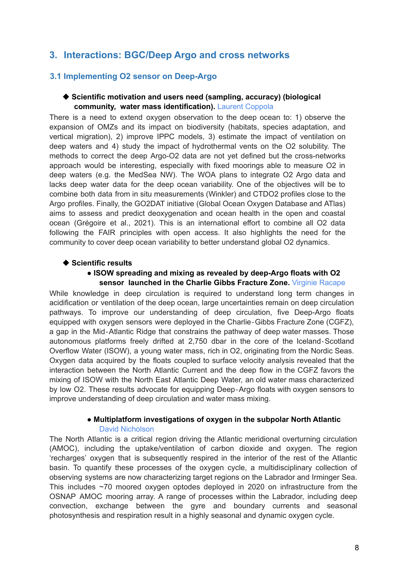# <span id="page-7-1"></span><span id="page-7-0"></span>**3. Interactions: BGC/Deep Argo and cross networks**

# **3.1 Implementing O2 sensor on Deep-Argo**

#### ◆ **Scientific motivation and users need (sampling, accuracy) (biological community, water mass identification).** Laurent Coppola

There is a need to extend oxygen observation to the deep ocean to: 1) observe the expansion of OMZs and its impact on biodiversity (habitats, species adaptation, and vertical migration), 2) improve IPPC models, 3) estimate the impact of ventilation on deep waters and 4) study the impact of hydrothermal vents on the O2 solubility. The methods to correct the deep Argo-O2 data are not yet defined but the cross-networks approach would be interesting, especially with fixed moorings able to measure O2 in deep waters (e.g. the MedSea NW). The WOA plans to integrate O2 Argo data and lacks deep water data for the deep ocean variability. One of the objectives will be to combine both data from in situ measurements (Winkler) and CTDO2 profiles close to the Argo profiles. Finally, the GO2DAT initiative (Global Ocean Oxygen Database and ATlas) aims to assess and predict deoxygenation and ocean health in the open and coastal ocean (Grégoire et al., 2021). This is an international effort to combine all O2 data following the FAIR principles with open access. It also highlights the need for the community to cover deep ocean variability to better understand global O2 dynamics.

#### ◆ **Scientific results**

#### ● **ISOW spreading and mixing as revealed by deep-Argo floats with O2 sensor launched in the Charlie Gibbs Fracture Zone.** Virginie Racape

While knowledge in deep circulation is required to understand long term changes in acidification or ventilation of the deep ocean, large uncertainties remain on deep circulation pathways. To improve our understanding of deep circulation, five Deep-Argo floats equipped with oxygen sensors were deployed in the Charlie‐Gibbs Fracture Zone (CGFZ), a gap in the Mid‐Atlantic Ridge that constrains the pathway of deep water masses. Those autonomous platforms freely drifted at 2,750 dbar in the core of the Iceland‐Scotland Overflow Water (ISOW), a young water mass, rich in O2, originating from the Nordic Seas. Oxygen data acquired by the floats coupled to surface velocity analysis revealed that the interaction between the North Atlantic Current and the deep flow in the CGFZ favors the mixing of ISOW with the North East Atlantic Deep Water, an old water mass characterized by low O2. These results advocate for equipping Deep‐Argo floats with oxygen sensors to improve understanding of deep circulation and water mass mixing.

# ● **Multiplatform investigations of oxygen in the subpolar North Atlantic**

#### David Nicholson

The North Atlantic is a critical region driving the Atlantic meridional overturning circulation (AMOC), including the uptake/ventilation of carbon dioxide and oxygen. The region 'recharges' oxygen that is subsequently respired in the interior of the rest of the Atlantic basin. To quantify these processes of the oxygen cycle, a multidisciplinary collection of observing systems are now characterizing target regions on the Labrador and Irminger Sea. This includes ~70 moored oxygen optodes deployed in 2020 on infrastructure from the OSNAP AMOC mooring array. A range of processes within the Labrador, including deep convection, exchange between the gyre and boundary currents and seasonal photosynthesis and respiration result in a highly seasonal and dynamic oxygen cycle.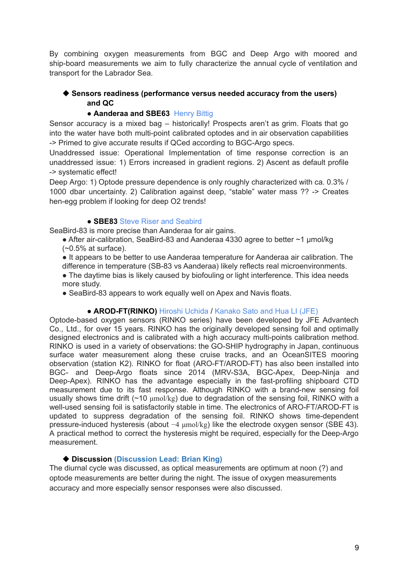By combining oxygen measurements from BGC and Deep Argo with moored and ship-board measurements we aim to fully characterize the annual cycle of ventilation and transport for the Labrador Sea.

# ◆ **Sensors readiness (performance versus needed accuracy from the users) and QC**

# ● **Aanderaa and SBE63** Henry Bittig

Sensor accuracy is a mixed bag – historically! Prospects aren't as grim. Floats that go into the water have both multi-point calibrated optodes and in air observation capabilities -> Primed to give accurate results if QCed according to BGC-Argo specs.

Unaddressed issue: Operational Implementation of time response correction is an unaddressed issue: 1) Errors increased in gradient regions. 2) Ascent as default profile -> systematic effect!

Deep Argo: 1) Optode pressure dependence is only roughly characterized with ca. 0.3% / 1000 dbar uncertainty. 2) Calibration against deep, "stable" water mass ?? -> Creates hen-egg problem if looking for deep O2 trends!

# ● **SBE83** Steve Riser and Seabird

SeaBird-83 is more precise than Aanderaa for air gains.

• After air-calibration, SeaBird-83 and Aanderaa 4330 agree to better ∼1 µmol/kg  $(-0.5\% \text{ at surface}).$ 

● It appears to be better to use Aanderaa temperature for Aanderaa air calibration. The difference in temperature (SB-83 vs Aanderaa) likely reflects real microenvironments.

- The daytime bias is likely caused by biofouling or light interference. This idea needs more study.
- SeaBird-83 appears to work equally well on Apex and Navis floats.

# ● **AROD-FT(RINKO)** Hiroshi Uchida / Kanako Sato and Hua LI (JFE)

Optode-based oxygen sensors (RINKO series) have been developed by JFE Advantech Co., Ltd., for over 15 years. RINKO has the originally developed sensing foil and optimally designed electronics and is calibrated with a high accuracy multi-points calibration method. RINKO is used in a variety of observations: the GO-SHIP hydrography in Japan, continuous surface water measurement along these cruise tracks, and an OceanSITES mooring observation (station K2). RINKO for float (ARO-FT/AROD-FT) has also been installed into BGC- and Deep-Argo floats since 2014 (MRV-S3A, BGC-Apex, Deep-Ninja and Deep-Apex). RINKO has the advantage especially in the fast-profiling shipboard CTD measurement due to its fast response. Although RINKO with a brand-new sensing foil usually shows time drift (~10 μmol/kg) due to degradation of the sensing foil, RINKO with a well-used sensing foil is satisfactorily stable in time. The electronics of ARO-FT/AROD-FT is updated to suppress degradation of the sensing foil. RINKO shows time-dependent pressure-induced hysteresis (about −4 μmol/kg) like the electrode oxygen sensor (SBE 43). A practical method to correct the hysteresis might be required, especially for the Deep-Argo measurement.

# ◆ **Discussion (Discussion Lead: Brian King)**

The diurnal cycle was discussed, as optical measurements are optimum at noon (?) and optode measurements are better during the night. The issue of oxygen measurements accuracy and more especially sensor responses were also discussed.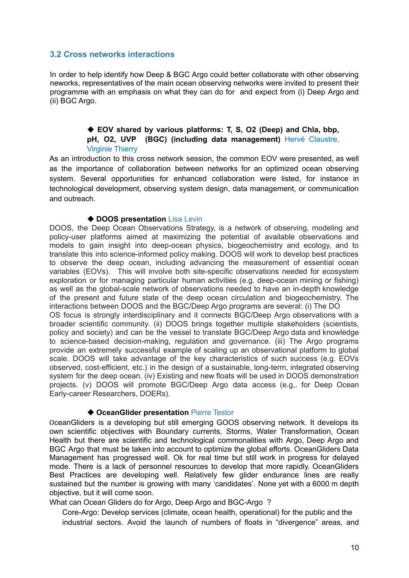# <span id="page-9-0"></span>**3.2 Cross networks interactions**

In order to help identify how Deep & BGC Argo could better collaborate with other observing neworks, representatives of the main ocean observing networks were invited to present their programme with an emphasis on what they can do for and expect from (i) Deep Argo and (ii) BGC Argo.

# ◆ **EOV shared by various platforms: T, S, O2 (Deep) and Chla, bbp, pH, O2, UVP (BGC) (including data management)** Hervé Claustre, Virginie Thierry

As an introduction to this cross network session, the common EOV were presented, as well as the importance of collaboration between networks for an optimized ocean observing system. Several opportunities for enhanced collaboration were listed, for instance in technological development, observing system design, data management, or communication and outreach.

#### ◆ **DOOS presentation** Lisa Levin

DOOS, the Deep Ocean Observations Strategy, is a network of observing, modeling and policy-user platforms aimed at maximizing the potential of available observations and models to gain insight into deep-ocean physics, biogeochemistry and ecology, and to translate this into science-informed policy making. DOOS will work to develop best practices to observe the deep ocean, including advancing the measurement of essential ocean variables (EOVs). This will involve both site-specific observations needed for ecosystem exploration or for managing particular human activities (e.g. deep-ocean mining or fishing) as well as the global-scale network of observations needed to have an in-depth knowledge of the present and future state of the deep ocean circulation and biogeochemistry. The interactions between DOOS and the BGC/Deep Argo programs are several: (i) The DO OS focus is strongly interdisciplinary and it connects BGC/Deep Argo observations with a broader scientific community. (ii) DOOS brings together multiple stakeholders (scientists, policy and society) and can be the vessel to translate BGC/Deep Argo data and knowledge to science-based decision-making, regulation and governance. (iii) The Argo programs provide an extremely successful example of scaling up an observational platform to global scale. DOOS will take advantage of the key characteristics of such success (e.g. EOVs observed, cost-efficient, etc.) in the design of a sustainable, long-term, integrated observing system for the deep ocean. (iv) Existing and new floats will be used in DOOS demonstration projects. (v) DOOS will promote BGC/Deep Argo data access (e.g,. for Deep Ocean Early-career Researchers, DOERs).

#### ◆ **OceanGlider presentation** Pierre Testor

OceanGliders is a developing but still emerging GOOS observing network. It develops its own scientific objectives with Boundary currents, Storms, Water Transformation, Ocean Health but there are scientific and technological commonalities with Argo, Deep Argo and BGC Argo that must be taken into account to optimize the global efforts. OceanGliders Data Management has progressed well. Ok for real time but still work in progress for delayed mode. There is a lack of personnel resources to develop that more rapidly. OceanGliders Best Practices are developing well. Relatively few glider endurance lines are really sustained but the number is growing with many 'candidates'. None yet with a 6000 m depth objective, but it will come soon.

What can Ocean Gliders do for Argo, Deep Argo and BGC-Argo ?

Core-Argo: Develop services (climate, ocean health, operational) for the public and the industrial sectors. Avoid the launch of numbers of floats in "divergence" areas, and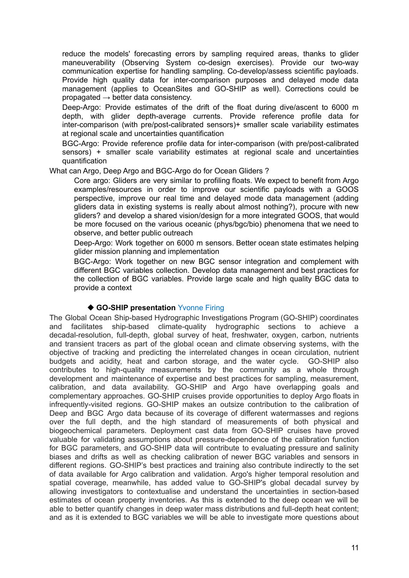reduce the models' forecasting errors by sampling required areas, thanks to glider maneuverability (Observing System co-design exercises). Provide our two-way communication expertise for handling sampling. Co-develop/assess scientific payloads. Provide high quality data for inter-comparison purposes and delayed mode data management (applies to OceanSites and GO-SHIP as well). Corrections could be propagated  $\rightarrow$  better data consistency.

Deep-Argo: Provide estimates of the drift of the float during dive/ascent to 6000 m depth, with glider depth-average currents. Provide reference profile data for inter-comparison (with pre/post-calibrated sensors)+ smaller scale variability estimates at regional scale and uncertainties quantification

BGC-Argo: Provide reference profile data for inter-comparison (with pre/post-calibrated sensors) + smaller scale variability estimates at regional scale and uncertainties quantification

What can Argo, Deep Argo and BGC-Argo do for Ocean Gliders ?

Core argo: Gliders are very similar to profiling floats. We expect to benefit from Argo examples/resources in order to improve our scientific payloads with a GOOS perspective, improve our real time and delayed mode data management (adding gliders data in existing systems is really about almost nothing?), procure with new gliders? and develop a shared vision/design for a more integrated GOOS, that would be more focused on the various oceanic (phys/bgc/bio) phenomena that we need to observe, and better public outreach

Deep-Argo: Work together on 6000 m sensors. Better ocean state estimates helping glider mission planning and implementation

BGC-Argo: Work together on new BGC sensor integration and complement with different BGC variables collection. Develop data management and best practices for the collection of BGC variables. Provide large scale and high quality BGC data to provide a context

# ◆ **GO-SHIP presentation** Yvonne Firing

The Global Ocean Ship-based Hydrographic Investigations Program (GO-SHIP) coordinates and facilitates ship-based climate-quality hydrographic sections to achieve a decadal-resolution, full-depth, global survey of heat, freshwater, oxygen, carbon, nutrients and transient tracers as part of the global ocean and climate observing systems, with the objective of tracking and predicting the interrelated changes in ocean circulation, nutrient budgets and acidity, heat and carbon storage, and the water cycle. GO-SHIP also contributes to high-quality measurements by the community as a whole through development and maintenance of expertise and best practices for sampling, measurement, calibration, and data availability. GO-SHIP and Argo have overlapping goals and complementary approaches. GO-SHIP cruises provide opportunities to deploy Argo floats in infrequently-visited regions. GO-SHIP makes an outsize contribution to the calibration of Deep and BGC Argo data because of its coverage of different watermasses and regions over the full depth, and the high standard of measurements of both physical and biogeochemical parameters. Deployment cast data from GO-SHIP cruises have proved valuable for validating assumptions about pressure-dependence of the calibration function for BGC parameters, and GO-SHIP data will contribute to evaluating pressure and salinity biases and drifts as well as checking calibration of newer BGC variables and sensors in different regions. GO-SHIP's best practices and training also contribute indirectly to the set of data available for Argo calibration and validation. Argo's higher temporal resolution and spatial coverage, meanwhile, has added value to GO-SHIP's global decadal survey by allowing investigators to contextualise and understand the uncertainties in section-based estimates of ocean property inventories. As this is extended to the deep ocean we will be able to better quantify changes in deep water mass distributions and full-depth heat content; and as it is extended to BGC variables we will be able to investigate more questions about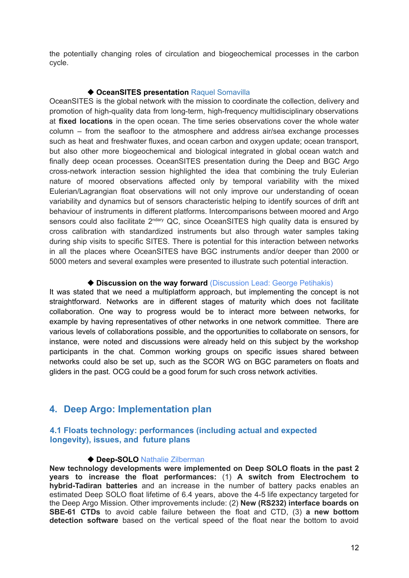the potentially changing roles of circulation and biogeochemical processes in the carbon cycle.

#### ◆ OceanSITES presentation Raquel Somavilla

OceanSITES is the global network with the mission to coordinate the collection, delivery and promotion of high-quality data from long-term, high-frequency multidisciplinary observations at **fixed locations** in the open ocean. The time series observations cover the whole water column – from the seafloor to the atmosphere and address air/sea exchange processes such as heat and freshwater fluxes, and ocean carbon and oxygen update; ocean transport, but also other more biogeochemical and biological integrated in global ocean watch and finally deep ocean processes. OceanSITES presentation during the Deep and BGC Argo cross-network interaction session highlighted the idea that combining the truly Eulerian nature of moored observations affected only by temporal variability with the mixed Eulerian/Lagrangian float observations will not only improve our understanding of ocean variability and dynamics but of sensors characteristic helping to identify sources of drift ant behaviour of instruments in different platforms. Intercomparisons between moored and Argo sensors could also facilitate 2<sup>ndary</sup> QC, since OceanSITES high quality data is ensured by cross calibration with standardized instruments but also through water samples taking during ship visits to specific SITES. There is potential for this interaction between networks in all the places where OceanSITES have BGC instruments and/or deeper than 2000 or 5000 meters and several examples were presented to illustrate such potential interaction.

#### ◆ **Discussion on the way forward** (Discussion Lead: George Petihakis)

It was stated that we need a multiplatform approach, but implementing the concept is not straightforward. Networks are in different stages of maturity which does not facilitate collaboration. One way to progress would be to interact more between networks, for example by having representatives of other networks in one network committee. There are various levels of collaborations possible, and the opportunities to collaborate on sensors, for instance, were noted and discussions were already held on this subject by the workshop participants in the chat. Common working groups on specific issues shared between networks could also be set up, such as the SCOR WG on BGC parameters on floats and gliders in the past. OCG could be a good forum for such cross network activities.

# <span id="page-11-0"></span>**4. Deep Argo: Implementation plan**

#### <span id="page-11-1"></span>**4.1 Floats technology: performances (including actual and expected longevity), issues, and future plans**

#### ◆ **Deep-SOLO** Nathalie Zilberman

**New technology developments were implemented on Deep SOLO floats in the past 2 years to increase the float performances:** (1) **A switch from Electrochem to hybrid-Tadiran batteries** and an increase in the number of battery packs enables an estimated Deep SOLO float lifetime of 6.4 years, above the 4-5 life expectancy targeted for the Deep Argo Mission. Other improvements include: (2) **New (RS232) interface boards on SBE-61 CTDs** to avoid cable failure between the float and CTD, (3) **a new bottom detection software** based on the vertical speed of the float near the bottom to avoid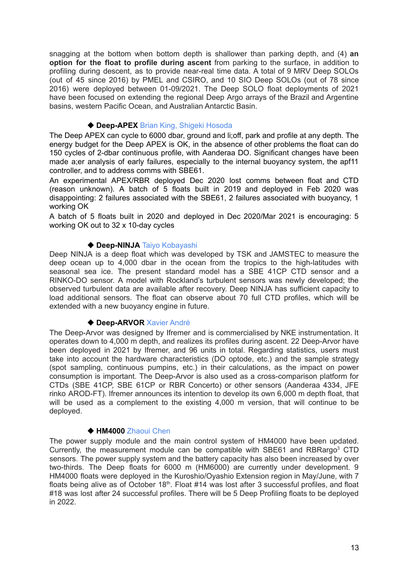snagging at the bottom when bottom depth is shallower than parking depth, and (4) **an option for the float to profile during ascent** from parking to the surface, in addition to profiling during descent, as to provide near-real time data. A total of 9 MRV Deep SOLOs (out of 45 since 2016) by PMEL and CSIRO, and 10 SIO Deep SOLOs (out of 78 since 2016) were deployed between 01-09/2021. The Deep SOLO float deployments of 2021 have been focused on extending the regional Deep Argo arrays of the Brazil and Argentine basins, western Pacific Ocean, and Australian Antarctic Basin.

# ◆ **Deep-APEX** Brian King, Shigeki Hosoda

The Deep APEX can cycle to 6000 dbar, ground and li;off, park and profile at any depth. The energy budget for the Deep APEX is OK, in the absence of other problems the float can do 150 cycles of 2-dbar continuous profile, with Aanderaa DO. Significant changes have been made a;er analysis of early failures, especially to the internal buoyancy system, the apf11 controller, and to address comms with SBE61.

An experimental APEX/RBR deployed Dec 2020 lost comms between float and CTD (reason unknown). A batch of 5 floats built in 2019 and deployed in Feb 2020 was disappointing: 2 failures associated with the SBE61, 2 failures associated with buoyancy, 1 working OK

A batch of 5 floats built in 2020 and deployed in Dec 2020/Mar 2021 is encouraging: 5 working OK out to 32 x 10-day cycles

# ◆ Deep-NINJA Taiyo Kobayashi

Deep NINJA is a deep float which was developed by TSK and JAMSTEC to measure the deep ocean up to 4,000 dbar in the ocean from the tropics to the high-latitudes with seasonal sea ice. The present standard model has a SBE 41CP CTD sensor and a RINKO-DO sensor. A model with Rockland's turbulent sensors was newly developed; the observed turbulent data are available after recovery. Deep NINJA has sufficient capacity to load additional sensors. The float can observe about 70 full CTD profiles, which will be extended with a new buoyancy engine in future.

#### ◆ **Deep-ARVOR** Xavier André

The Deep-Arvor was designed by Ifremer and is commercialised by NKE instrumentation. It operates down to 4,000 m depth, and realizes its profiles during ascent. 22 Deep-Arvor have been deployed in 2021 by Ifremer, and 96 units in total. Regarding statistics, users must take into account the hardware characteristics (DO optode, etc.) and the sample strategy (spot sampling, continuous pumpins, etc.) in their calculations, as the impact on power consumption is important. The Deep-Arvor is also used as a cross-comparison platform for CTDs (SBE 41CP, SBE 61CP or RBR Concerto) or other sensors (Aanderaa 4334, JFE rinko AROD-FT). Ifremer announces its intention to develop its own 6,000 m depth float, that will be used as a complement to the existing 4,000 m version, that will continue to be deployed.

#### ◆ **HM4000** Zhaoui Chen

The power supply module and the main control system of HM4000 have been updated. Currently, the measurement module can be compatible with SBE61 and RBRargo<sup>3</sup> CTD sensors. The power supply system and the battery capacity has also been increased by over two-thirds. The Deep floats for 6000 m (HM6000) are currently under development. 9 HM4000 floats were deployed in the Kuroshio/Oyashio Extension region in May/June, with 7 floats being alive as of October 18<sup>th</sup>. Float #14 was lost after 3 successful profiles, and float #18 was lost after 24 successful profiles. There will be 5 Deep Profiling floats to be deployed in 2022.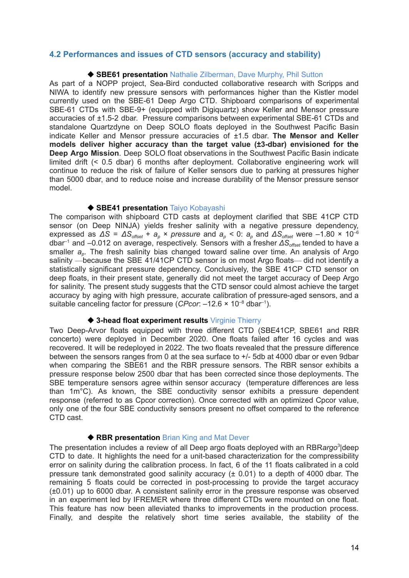#### <span id="page-13-0"></span>**4.2 Performances and issues of CTD sensors (accuracy and stability)**

#### ◆ SBE61 presentation Nathalie Zilberman, Dave Murphy, Phil Sutton

As part of a NOPP project, Sea-Bird conducted collaborative research with Scripps and NIWA to identify new pressure sensors with performances higher than the Kistler model currently used on the SBE-61 Deep Argo CTD. Shipboard comparisons of experimental SBE-61 CTDs with SBE-9+ (equipped with Digiquartz) show Keller and Mensor pressure accuracies of ±1.5-2 dbar. Pressure comparisons between experimental SBE-61 CTDs and standalone Quartzdyne on Deep SOLO floats deployed in the Southwest Pacific Basin indicate Keller and Mensor pressure accuracies of ±1.5 dbar. **The Mensor and Keller models deliver higher accuracy than the target value (±3-dbar) envisioned for the Deep Argo Mission**. Deep SOLO float observations in the Southwest Pacific Basin indicate limited drift (< 0.5 dbar) 6 months after deployment. Collaborative engineering work will continue to reduce the risk of failure of Keller sensors due to parking at pressures higher than 5000 dbar, and to reduce noise and increase durability of the Mensor pressure sensor model.

#### ◆ **SBE41 presentation** Taiyo Kobayashi

The comparison with shipboard CTD casts at deployment clarified that SBE 41CP CTD sensor (on Deep NINJA) yields fresher salinity with a negative pressure dependency, expressed as *ΔS* = *ΔSoffset* + *a<sup>p</sup>* × *pressure* and *a<sup>p</sup> <* 0: *a<sup>p</sup>* and *ΔSoffset* were –1.80 × 10 –6 dbar –1 and –0.012 on average, respectively. Sensors with a fresher *ΔSoffset* tended to have a smaller *a<sup>p</sup>* . The fresh salinity bias changed toward saline over time. An analysis of Argo salinity —because the SBE 41/41CP CTD sensor is on most Argo floats— did not identify a statistically significant pressure dependency. Conclusively, the SBE 41CP CTD sensor on deep floats, in their present state, generally did not meet the target accuracy of Deep Argo for salinity. The present study suggests that the CTD sensor could almost achieve the target accuracy by aging with high pressure, accurate calibration of pressure-aged sensors, and a suitable canceling factor for pressure (CPcor:  $-12.6 \times 10^{-8}$  dbar<sup>-1</sup>).

#### ◆ **3-head float experiment results** Virginie Thierry

Two Deep-Arvor floats equipped with three different CTD (SBE41CP, SBE61 and RBR concerto) were deployed in December 2020. One floats failed after 16 cycles and was recovered. It will be redeployed in 2022. The two floats revealed that the pressure difference between the sensors ranges from 0 at the sea surface to +/- 5db at 4000 dbar or even 9dbar when comparing the SBE61 and the RBR pressure sensors. The RBR sensor exhibits a pressure response below 2500 dbar that has been corrected since those deployments. The SBE temperature sensors agree within sensor accuracy (temperature differences are less than 1m°C). As known, the SBE conductivity sensor exhibits a pressure dependent response (referred to as Cpcor correction). Once corrected with an optimized Cpcor value, only one of the four SBE conductivity sensors present no offset compared to the reference CTD cast.

#### ◆ RBR presentation Brian King and Mat Dever

The presentation includes a review of all Deep argo floats deployed with an RBRargo<sup>3</sup>|deep CTD to date. It highlights the need for a unit-based characterization for the compressibility error on salinity during the calibration process. In fact, 6 of the 11 floats calibrated in a cold pressure tank demonstrated good salinity accuracy (± 0.01) to a depth of 4000 dbar. The remaining 5 floats could be corrected in post-processing to provide the target accuracy (±0.01) up to 6000 dbar. A consistent salinity error in the pressure response was observed in an experiment led by IFREMER where three different CTDs were mounted on one float. This feature has now been alleviated thanks to improvements in the production process. Finally, and despite the relatively short time series available, the stability of the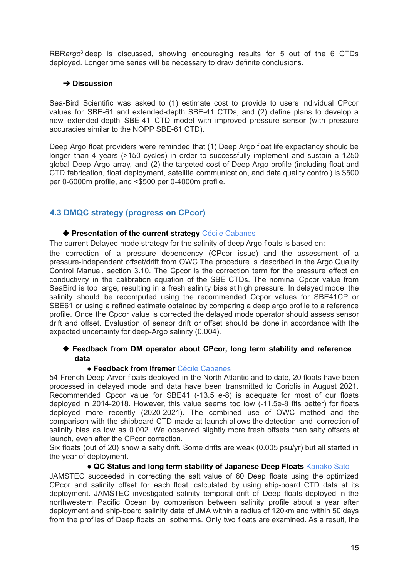RBRargo<sup>3</sup> | deep is discussed, showing encouraging results for 5 out of the 6 CTDs deployed. Longer time series will be necessary to draw definite conclusions.

# ➔ **Discussion**

Sea-Bird Scientific was asked to (1) estimate cost to provide to users individual CPcor values for SBE-61 and extended-depth SBE-41 CTDs, and (2) define plans to develop a new extended-depth SBE-41 CTD model with improved pressure sensor (with pressure accuracies similar to the NOPP SBE-61 CTD).

Deep Argo float providers were reminded that (1) Deep Argo float life expectancy should be longer than 4 years (>150 cycles) in order to successfully implement and sustain a 1250 global Deep Argo array, and (2) the targeted cost of Deep Argo profile (including float and CTD fabrication, float deployment, satellite communication, and data quality control) is \$500 per 0-6000m profile, and <\$500 per 0-4000m profile.

# <span id="page-14-0"></span>**4.3 DMQC strategy (progress on CPcor)**

# ◆ **Presentation of the current strategy** Cécile Cabanes

The current Delayed mode strategy for the salinity of deep Argo floats is based on:

the correction of a pressure dependency (CPcor issue) and the assessment of a pressure-independent offset/drift from OWC.The procedure is described in the Argo Quality Control Manual, section 3.10. The Cpcor is the correction term for the pressure effect on conductivity in the calibration equation of the SBE CTDs. The nominal Cpcor value from SeaBird is too large, resulting in a fresh salinity bias at high pressure. In delayed mode, the salinity should be recomputed using the recommended Ccpor values for SBE41CP or SBE61 or using a refined estimate obtained by comparing a deep argo profile to a reference profile. Once the Cpcor value is corrected the delayed mode operator should assess sensor drift and offset. Evaluation of sensor drift or offset should be done in accordance with the expected uncertainty for deep-Argo salinity (0.004).

# ◆ **Feedback from DM operator about CPcor, long term stability and reference data**

#### ● **Feedback from Ifremer** Cécile Cabanes

54 French Deep-Arvor floats deployed in the North Atlantic and to date, 20 floats have been processed in delayed mode and data have been transmitted to Coriolis in August 2021. Recommended Cpcor value for SBE41 (-13.5 e-8) is adequate for most of our floats deployed in 2014-2018. However, this value seems too low (-11.5e-8 fits better) for floats deployed more recently (2020-2021). The combined use of OWC method and the comparison with the shipboard CTD made at launch allows the detection and correction of salinity bias as low as 0.002. We observed slightly more fresh offsets than salty offsets at launch, even after the CPcor correction.

Six floats (out of 20) show a salty drift. Some drifts are weak (0.005 psu/yr) but all started in the year of deployment.

#### ● **QC Status and long term stability of Japanese Deep Floats** Kanako Sato

JAMSTEC succeeded in correcting the salt value of 60 Deep floats using the optimized CPcor and salinity offset for each float, calculated by using ship-board CTD data at its deployment. JAMSTEC investigated salinity temporal drift of Deep floats deployed in the northwestern Pacific Ocean by comparison between salinity profile about a year after deployment and ship-board salinity data of JMA within a radius of 120km and within 50 days from the profiles of Deep floats on isotherms. Only two floats are examined. As a result, the